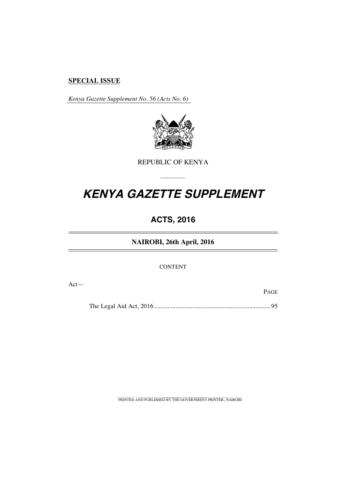### **SPECIAL ISSUE**

*Kenya Gazette Supplement No. 56 (Acts No. 6)*



REPUBLIC OF KENYA

–––––––

# **KENYA GAZETTE SUPPLEMENT**

# **ACTS, 2016**

**NAIROBI, 26th April, 2016**

CONTENT

Act—

PAGE

The Legal Aid Act, 2016............................................................................95

PRINTED AND PUBLISHED BY THE GOVERNMENT PRINTER, NAIROBI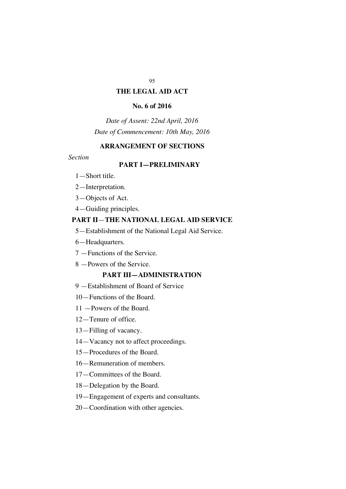#### **THE LEGAL AID ACT**

#### **No. 6 of 2016**

*Date of Assent: 22nd April, 2016 Date of Commencement: 10th May, 2016*

### **ARRANGEMENT OF SECTIONS**

#### *Section*

### **PART I—PRELIMINARY**

- 1—Short title.
- 2—Interpretation.
- 3—Objects of Act.
- 4—Guiding principles.

### **PART II**—**THE NATIONAL LEGAL AID SERVICE**

- 5—Establishment of the National Legal Aid Service.
- 6—Headquarters.
- 7 —Functions of the Service.
- 8 —Powers of the Service.

#### **PART III—ADMINISTRATION**

- 9 —Establishment of Board of Service
- 10—Functions of the Board.
- 11 —Powers of the Board.
- 12—Tenure of office.
- 13—Filling of vacancy.
- 14—Vacancy not to affect proceedings.
- 15—Procedures of the Board.
- 16—Remuneration of members.
- 17—Committees of the Board.
- 18—Delegation by the Board.
- 19—Engagement of experts and consultants.
- 20—Coordination with other agencies.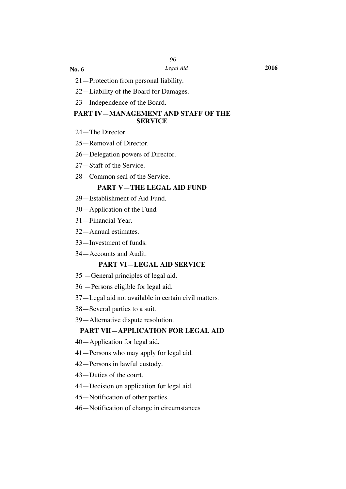**No. 6**

- 21—Protection from personal liability.
- 22—Liability of the Board for Damages.
- 23—Independence of the Board.

#### **PART IV—MANAGEMENT AND STAFF OF THE SERVICE**

- 24—The Director.
- 25—Removal of Director.
- 26—Delegation powers of Director.
- 27—Staff of the Service.
- 28—Common seal of the Service.

#### **PART V—THE LEGAL AID FUND**

- 29—Establishment of Aid Fund.
- 30—Application of the Fund.
- 31—Financial Year.
- 32—Annual estimates.
- 33—Investment of funds.
- 34—Accounts and Audit.

### **PART VI—LEGAL AID SERVICE**

- 35 —General principles of legal aid.
- 36 —Persons eligible for legal aid.
- 37—Legal aid not available in certain civil matters.
- 38—Several parties to a suit.
- 39—Alternative dispute resolution.

#### **PART VII—APPLICATION FOR LEGAL AID**

- 40—Application for legal aid.
- 41—Persons who may apply for legal aid.
- 42—Persons in lawful custody.
- 43—Duties of the court.
- 44—Decision on application for legal aid.
- 45—Notification of other parties.
- 46—Notification of change in circumstances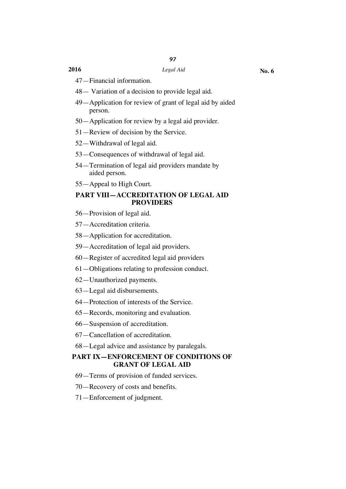### **2016** *Legal Aid*

- - 47—Financial information.
	- 48— Variation of a decision to provide legal aid.
	- 49—Application for review of grant of legal aid by aided person.
	- 50—Application for review by a legal aid provider.
	- 51—Review of decision by the Service.
	- 52—Withdrawal of legal aid.
	- 53—Consequences of withdrawal of legal aid.
	- 54—Termination of legal aid providers mandate by aided person.
	- 55—Appeal to High Court.

#### **PART VIII—ACCREDITATION OF LEGAL AID PROVIDERS**

- 56—Provision of legal aid.
- 57—Accreditation criteria.
- 58—Application for accreditation.
- 59—Accreditation of legal aid providers.
- 60—Register of accredited legal aid providers
- 61—Obligations relating to profession conduct.
- 62—Unauthorized payments.
- 63—Legal aid disbursements.
- 64—Protection of interests of the Service.
- 65—Records, monitoring and evaluation.
- 66—Suspension of accreditation.
- 67—Cancellation of accreditation.
- 68—Legal advice and assistance by paralegals.

### **PART IX—ENFORCEMENT OF CONDITIONS OF GRANT OF LEGAL AID**

- 69—Terms of provision of funded services.
- 70—Recovery of costs and benefits.
- 71—Enforcement of judgment.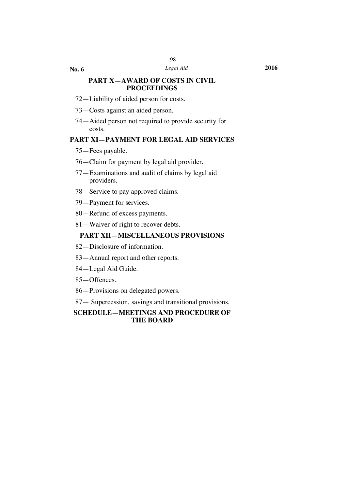**No. 6**

#### **PART X—AWARD OF COSTS IN CIVIL PROCEEDINGS**

- 72—Liability of aided person for costs.
- 73—Costs against an aided person.
- 74—Aided person not required to provide security for costs.

### **PART XI—PAYMENT FOR LEGAL AID SERVICES**

- 75—Fees payable.
- 76—Claim for payment by legal aid provider.
- 77—Examinations and audit of claims by legal aid providers.
- 78—Service to pay approved claims.
- 79—Payment for services.
- 80—Refund of excess payments.
- 81—Waiver of right to recover debts.

#### **PART XII—MISCELLANEOUS PROVISIONS**

- 82—Disclosure of information.
- 83—Annual report and other reports.
- 84—Legal Aid Guide.
- 85—Offences.
- 86—Provisions on delegated powers.
- 87— Supercession, savings and transitional provisions.

#### **SCHEDULE**—**MEETINGS AND PROCEDURE OF THE BOARD**

*Legal Aid* **2016**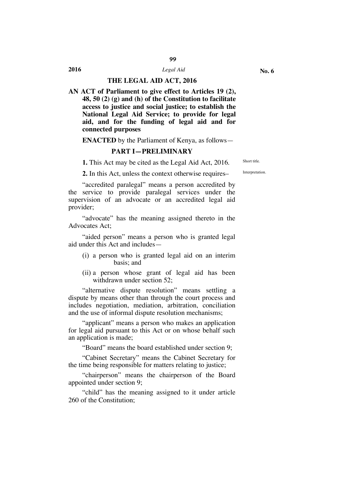### **2016** *Legal Aid* **THE LEGAL AID ACT, 2016**

**AN ACT of Parliament to give effect to Articles 19 (2), 48, 50 (2) (g) and (h) of the Constitution to facilitate access to justice and social justice; to establish the National Legal Aid Service; to provide for legal aid, and for the funding of legal aid and for connected purposes**

**ENACTED** by the Parliament of Kenya, as follows—

#### **PART I—PRELIMINARY**

**1.** This Act may be cited as the Legal Aid Act, 2016. Short title

2. In this Act, unless the context otherwise requires–

"accredited paralegal" means a person accredited by the service to provide paralegal services under the supervision of an advocate or an accredited legal aid provider;

"advocate" has the meaning assigned thereto in the Advocates Act;

"aided person" means a person who is granted legal aid under this Act and includes—

- (i) a person who is granted legal aid on an interim basis; and
- (ii) a person whose grant of legal aid has been withdrawn under section 52;

"alternative dispute resolution" means settling a dispute by means other than through the court process and includes negotiation, mediation, arbitration, conciliation and the use of informal dispute resolution mechanisms;

"applicant" means a person who makes an application for legal aid pursuant to this Act or on whose behalf such an application is made;

"Board" means the board established under section 9;

"Cabinet Secretary" means the Cabinet Secretary for the time being responsible for matters relating to justice;

"chairperson" means the chairperson of the Board appointed under section 9;

"child" has the meaning assigned to it under article 260 of the Constitution;

99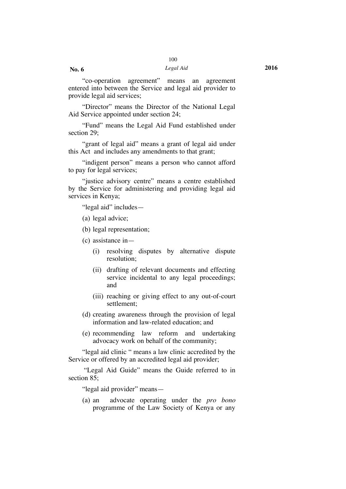"co-operation agreement" means an agreement entered into between the Service and legal aid provider to provide legal aid services;

"Director" means the Director of the National Legal Aid Service appointed under section 24;

"Fund" means the Legal Aid Fund established under section 29;

"grant of legal aid" means a grant of legal aid under this Act and includes any amendments to that grant;

"indigent person" means a person who cannot afford to pay for legal services;

"justice advisory centre" means a centre established by the Service for administering and providing legal aid services in Kenya;

"legal aid" includes—

(a) legal advice;

(b) legal representation;

(c) assistance in—

- (i) resolving disputes by alternative dispute resolution;
- (ii) drafting of relevant documents and effecting service incidental to any legal proceedings; and
- (iii) reaching or giving effect to any out-of-court settlement;
- (d) creating awareness through the provision of legal information and law-related education; and
- (e) recommending law reform and undertaking advocacy work on behalf of the community;

"legal aid clinic " means a law clinic accredited by the Service or offered by an accredited legal aid provider;

"Legal Aid Guide" means the Guide referred to in section 85;

"legal aid provider" means—

(a) an advocate operating under the *pro bono* programme of the Law Society of Kenya or any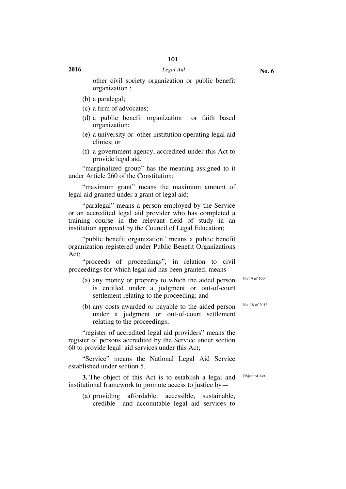other civil society organization or public benefit organization ;

- (b) a paralegal;
- (c) a firm of advocates;
- (d) a public benefit organization or faith based organization;
- (e) a university or other institution operating legal aid clinics; or
- (f) a government agency, accredited under this Act to provide legal aid.

"marginalized group" has the meaning assigned to it under Article 260 of the Constitution;

"maximum grant" means the maximum amount of legal aid granted under a grant of legal aid;

"paralegal" means a person employed by the Service or an accredited legal aid provider who has completed a training course in the relevant field of study in an institution approved by the Council of Legal Education;

"public benefit organization" means a public benefit organization registered under Public Benefit Organizations Act;

"proceeds of proceedings", in relation to civil proceedings for which legal aid has been granted, means—

- (a) any money or property to which the aided person is entitled under a judgment or out-of-court settlement relating to the proceeding; and
- (b) any costs awarded or payable to the aided person under a judgment or out-of-court settlement relating to the proceedings;

"register of accredited legal aid providers" means the register of persons accredited by the Service under section 60 to provide legal aid services under this Act;

"Service" means the National Legal Aid Service established under section 5.

**3.** The object of this Act is to establish a legal and institutional framework to promote access to justice by—

(a) providing affordable, accessible, sustainable, credible and accountable legal aid services to No.19 of 1990

No. 18 of 2013

Object of Act.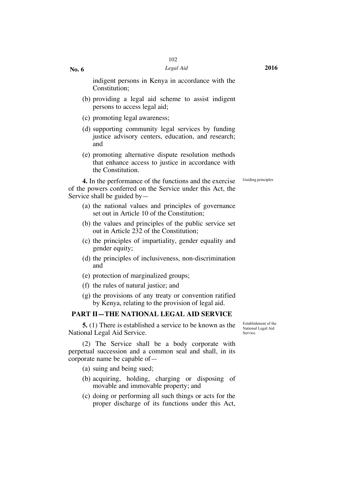indigent persons in Kenya in accordance with the Constitution;

- (b) providing a legal aid scheme to assist indigent persons to access legal aid;
- (c) promoting legal awareness;
- (d) supporting community legal services by funding justice advisory centers, education, and research; and
- (e) promoting alternative dispute resolution methods that enhance access to justice in accordance with the Constitution*.*

Guiding principles

**4.** In the performance of the functions and the exercise of the powers conferred on the Service under this Act, the Service shall be guided by—

- (a) the national values and principles of governance set out in Article 10 of the Constitution;
- (b) the values and principles of the public service set out in Article 232 of the Constitution;
- (c) the principles of impartiality, gender equality and gender equity;
- (d) the principles of inclusiveness, non-discrimination and
- (e) protection of marginalized groups;
- (f) the rules of natural justice; and
- (g) the provisions of any treaty or convention ratified by Kenya, relating to the provision of legal aid.

#### **PART II—THE NATIONAL LEGAL AID SERVICE**

**5.** (1) There is established a service to be known as the National Legal Aid Service.

(2) The Service shall be a body corporate with perpetual succession and a common seal and shall, in its corporate name be capable of—

(a) suing and being sued;

- (b) acquiring, holding, charging or disposing of movable and immovable property; and
- (c) doing or performing all such things or acts for the proper discharge of its functions under this Act,

Establishment of the National Legal Aid Service.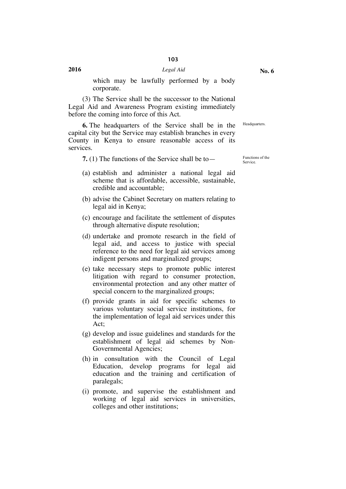which may be lawfully performed by a body corporate.

(3) The Service shall be the successor to the National Legal Aid and Awareness Program existing immediately before the coming into force of this Act.

**6.** The headquarters of the Service shall be in the capital city but the Service may establish branches in every County in Kenya to ensure reasonable access of its services.

**7.** (1) The functions of the Service shall be to — Functions of the

Service.

Headquarters.

- (a) establish and administer a national legal aid scheme that is affordable, accessible, sustainable, credible and accountable;
- (b) advise the Cabinet Secretary on matters relating to legal aid in Kenya;
- (c) encourage and facilitate the settlement of disputes through alternative dispute resolution;
- (d) undertake and promote research in the field of legal aid, and access to justice with special reference to the need for legal aid services among indigent persons and marginalized groups;
- (e) take necessary steps to promote public interest litigation with regard to consumer protection, environmental protection and any other matter of special concern to the marginalized groups;
- (f) provide grants in aid for specific schemes to various voluntary social service institutions, for the implementation of legal aid services under this Act;
- (g) develop and issue guidelines and standards for the establishment of legal aid schemes by Non-Governmental Agencies;
- (h) in consultation with the Council of Legal Education, develop programs for legal aid education and the training and certification of paralegals;
- (i) promote, and supervise the establishment and working of legal aid services in universities, colleges and other institutions;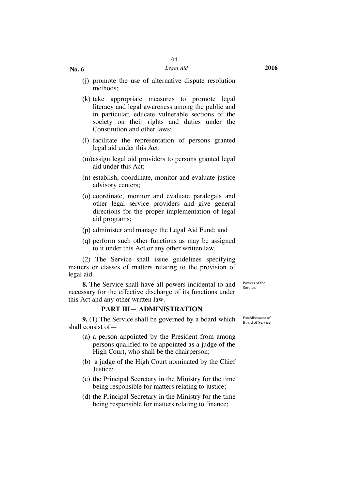- (j) promote the use of alternative dispute resolution methods;
- (k) take appropriate measures to promote legal literacy and legal awareness among the public and in particular, educate vulnerable sections of the society on their rights and duties under the Constitution and other laws;
- (l) facilitate the representation of persons granted legal aid under this Act;
- (m)assign legal aid providers to persons granted legal aid under this Act;
- (n) establish, coordinate, monitor and evaluate justice advisory centers;
- (o) coordinate, monitor and evaluate paralegals and other legal service providers and give general directions for the proper implementation of legal aid programs;
- (p) administer and manage the Legal Aid Fund; and
- (q) perform such other functions as may be assigned to it under this Act or any other written law.

(2) The Service shall issue guidelines specifying matters or classes of matters relating to the provision of legal aid.

**8.** The Service shall have all powers incidental to and necessary for the effective discharge of its functions under this Act and any other written law.

#### **PART III— ADMINISTRATION**

**9.** (1) The Service shall be governed by a board which shall consist of—

- (a) a person appointed by the President from among persons qualified to be appointed as a judge of the High Court**,** who shall be the chairperson;
- (b) a judge of the High Court nominated by the Chief Justice;
- (c) the Principal Secretary in the Ministry for the time being responsible for matters relating to justice;
- (d) the Principal Secretary in the Ministry for the time being responsible for matters relating to finance;

Establishment of Board of Service.

Powers of the Service.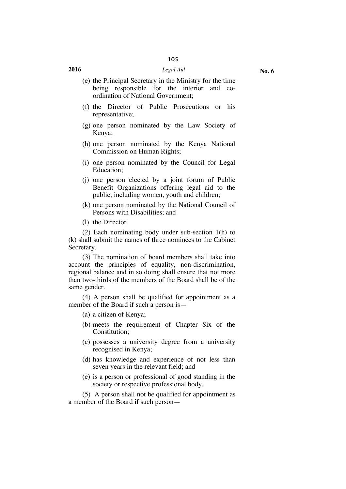#### **2016** *Legal Aid*

- (e) the Principal Secretary in the Ministry for the time being responsible for the interior and coordination of National Government;
- (f) the Director of Public Prosecutions or his representative;
- (g) one person nominated by the Law Society of Kenya;
- (h) one person nominated by the Kenya National Commission on Human Rights;
- (i) one person nominated by the Council for Legal Education;
- (j) one person elected by a joint forum of Public Benefit Organizations offering legal aid to the public, including women, youth and children;
- (k) one person nominated by the National Council of Persons with Disabilities; and
- (l) the Director.

(2) Each nominating body under sub-section 1(h) to (k) shall submit the names of three nominees to the Cabinet Secretary.

(3) The nomination of board members shall take into account the principles of equality, non-discrimination, regional balance and in so doing shall ensure that not more than two-thirds of the members of the Board shall be of the same gender.

(4) A person shall be qualified for appointment as a member of the Board if such a person is—

(a) a citizen of Kenya;

- (b) meets the requirement of Chapter Six of the Constitution;
- (c) possesses a university degree from a university recognised in Kenya;
- (d) has knowledge and experience of not less than seven years in the relevant field; and
- (e) is a person or professional of good standing in the society or respective professional body.

(5) A person shall not be qualified for appointment as a member of the Board if such person—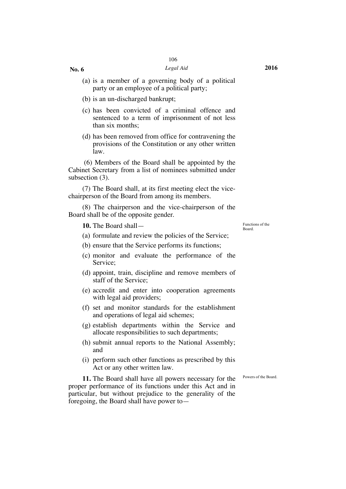#### *Legal Aid* **2016**

- (a) is a member of a governing body of a political party or an employee of a political party;
- (b) is an un-discharged bankrupt;
- (c) has been convicted of a criminal offence and sentenced to a term of imprisonment of not less than six months;
- (d) has been removed from office for contravening the provisions of the Constitution or any other written law.

(6) Members of the Board shall be appointed by the Cabinet Secretary from a list of nominees submitted under subsection (3).

(7) The Board shall, at its first meeting elect the vicechairperson of the Board from among its members.

(8) The chairperson and the vice-chairperson of the Board shall be of the opposite gender.

**10.** The Board shall — Functions of the

(a) formulate and review the policies of the Service;

(b) ensure that the Service performs its functions;

- (c) monitor and evaluate the performance of the Service;
- (d) appoint, train, discipline and remove members of staff of the Service;
- (e) accredit and enter into cooperation agreements with legal aid providers;
- (f) set and monitor standards for the establishment and operations of legal aid schemes;
- (g) establish departments within the Service and allocate responsibilities to such departments;
- (h) submit annual reports to the National Assembly; and
- (i) perform such other functions as prescribed by this Act or any other written law.

Powers of the Board.

**11.** The Board shall have all powers necessary for the proper performance of its functions under this Act and in particular, but without prejudice to the generality of the foregoing, the Board shall have power toBoard.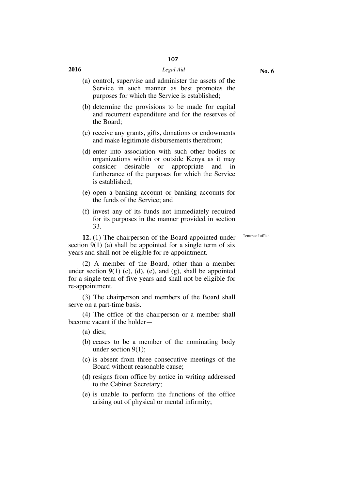#### **2016** *Legal Aid*

- (a) control, supervise and administer the assets of the
	- Service in such manner as best promotes the purposes for which the Service is established;
- (b) determine the provisions to be made for capital and recurrent expenditure and for the reserves of the Board;
- (c) receive any grants, gifts, donations or endowments and make legitimate disbursements therefrom;
- (d) enter into association with such other bodies or organizations within or outside Kenya as it may consider desirable or appropriate and in furtherance of the purposes for which the Service is established;
- (e) open a banking account or banking accounts for the funds of the Service; and
- (f) invest any of its funds not immediately required for its purposes in the manner provided in section 33.

Tenure of office.

**12.** (1) The chairperson of the Board appointed under section  $9(1)$  (a) shall be appointed for a single term of six years and shall not be eligible for re-appointment.

(2) A member of the Board, other than a member under section  $9(1)$  (c), (d), (e), and (g), shall be appointed for a single term of five years and shall not be eligible for re-appointment.

(3) The chairperson and members of the Board shall serve on a part-time basis.

(4) The office of the chairperson or a member shall become vacant if the holder—

- (a) dies;
- (b) ceases to be a member of the nominating body under section  $9(1)$ :
- (c) is absent from three consecutive meetings of the Board without reasonable cause;
- (d) resigns from office by notice in writing addressed to the Cabinet Secretary;
- (e) is unable to perform the functions of the office arising out of physical or mental infirmity;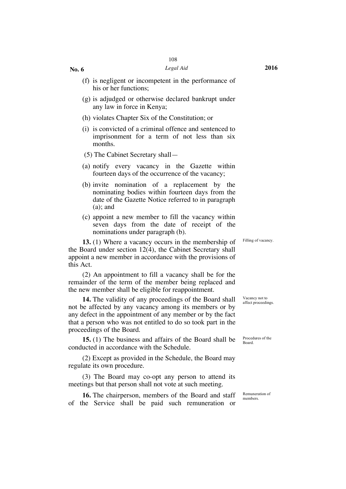- (f) is negligent or incompetent in the performance of his or her functions;
- (g) is adjudged or otherwise declared bankrupt under any law in force in Kenya;
- (h) violates Chapter Six of the Constitution; or
- (i) is convicted of a criminal offence and sentenced to imprisonment for a term of not less than six months.
- (5) The Cabinet Secretary shall—
- (a) notify every vacancy in the Gazette within fourteen days of the occurrence of the vacancy;
- (b) invite nomination of a replacement by the nominating bodies within fourteen days from the date of the Gazette Notice referred to in paragraph (a); and
- (c) appoint a new member to fill the vacancy within seven days from the date of receipt of the nominations under paragraph (b).

**13.** (1) Where a vacancy occurs in the membership of the Board under section 12(4), the Cabinet Secretary shall appoint a new member in accordance with the provisions of this Act.

(2) An appointment to fill a vacancy shall be for the remainder of the term of the member being replaced and the new member shall be eligible for reappointment.

**14.** The validity of any proceedings of the Board shall not be affected by any vacancy among its members or by any defect in the appointment of any member or by the fact that a person who was not entitled to do so took part in the proceedings of the Board.

**15.** (1) The business and affairs of the Board shall be conducted in accordance with the Schedule.

(2) Except as provided in the Schedule, the Board may regulate its own procedure.

(3) The Board may co-opt any person to attend its meetings but that person shall not vote at such meeting.

**16.** The chairperson, members of the Board and staff of the Service shall be paid such remuneration or

Vacancy not to affect proceedings.

Procedures of the Board.

Remuneration of members.

Filling of vacancy.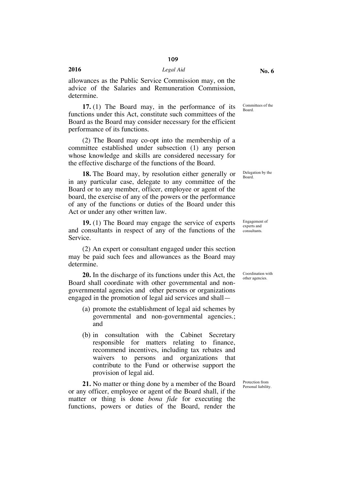#### **2016** *Legal Aid*

allowances as the Public Service Commission may, on the advice of the Salaries and Remuneration Commission, determine.

**17.** (1) The Board may, in the performance of its functions under this Act, constitute such committees of the Board as the Board may consider necessary for the efficient performance of its functions.

(2) The Board may co-opt into the membership of a committee established under subsection (1) any person whose knowledge and skills are considered necessary for the effective discharge of the functions of the Board.

**18.** The Board may, by resolution either generally or in any particular case, delegate to any committee of the Board or to any member, officer, employee or agent of the board, the exercise of any of the powers or the performance of any of the functions or duties of the Board under this Act or under any other written law.

**19.** (1) The Board may engage the service of experts and consultants in respect of any of the functions of the Service.

(2) An expert or consultant engaged under this section may be paid such fees and allowances as the Board may determine.

**20.** In the discharge of its functions under this Act, the Board shall coordinate with other governmental and nongovernmental agencies and other persons or organizations engaged in the promotion of legal aid services and shall—

- (a) promote the establishment of legal aid schemes by governmental and non-governmental agencies.; and
- (b) in consultation with the Cabinet Secretary responsible for matters relating to finance, recommend incentives, including tax rebates and waivers to persons and organizations that contribute to the Fund or otherwise support the provision of legal aid.

**21.** No matter or thing done by a member of the Board or any officer, employee or agent of the Board shall, if the matter or thing is done *bona fide* for executing the functions, powers or duties of the Board, render the

Committees of the Board.

Delegation by the Board.

Engagement of experts and consultants.

Coordination with other agencies.

Protection from Personal liability.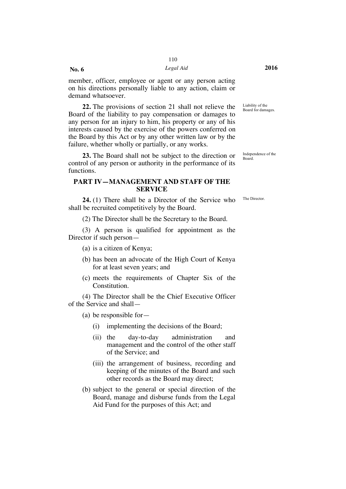#### *Legal Aid* **2016**

member, officer, employee or agent or any person acting on his directions personally liable to any action, claim or demand whatsoever.

**22.** The provisions of section 21 shall not relieve the Board of the liability to pay compensation or damages to any person for an injury to him, his property or any of his interests caused by the exercise of the powers conferred on the Board by this Act or by any other written law or by the failure, whether wholly or partially, or any works.

**23.** The Board shall not be subject to the direction or control of any person or authority in the performance of its functions.

#### **PART IV—MANAGEMENT AND STAFF OF THE SERVICE**

**24.** (1) There shall be a Director of the Service who shall be recruited competitively by the Board.

(2) The Director shall be the Secretary to the Board.

(3) A person is qualified for appointment as the Director if such person—

- (a) is a citizen of Kenya;
- (b) has been an advocate of the High Court of Kenya for at least seven years; and
- (c) meets the requirements of Chapter Six of the Constitution.

(4) The Director shall be the Chief Executive Officer of the Service and shall—

(a) be responsible for—

- (i) implementing the decisions of the Board;
- (ii) the day-to-day administration and management and the control of the other staff of the Service; and
- (iii) the arrangement of business, recording and keeping of the minutes of the Board and such other records as the Board may direct;
- (b) subject to the general or special direction of the Board, manage and disburse funds from the Legal Aid Fund for the purposes of this Act; and

Liability of the Board for damages.

Independence of the Board.

The Director.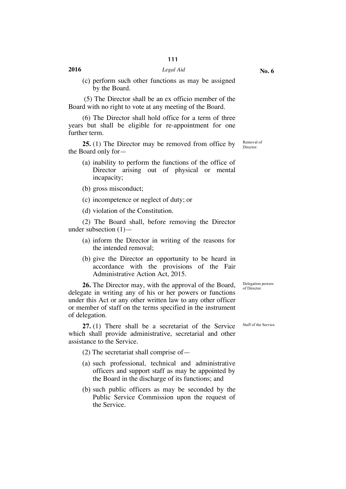(c) perform such other functions as may be assigned by the Board.

(5) The Director shall be an ex officio member of the Board with no right to vote at any meeting of the Board.

(6) The Director shall hold office for a term of three years but shall be eligible for re-appointment for one further term.

**25.** (1) The Director may be removed from office by the Board only for—

- (a) inability to perform the functions of the office of Director arising out of physical or mental incapacity;
- (b) gross misconduct;
- (c) incompetence or neglect of duty; or

(d) violation of the Constitution.

(2) The Board shall, before removing the Director under subsection  $(1)$ —

- (a) inform the Director in writing of the reasons for the intended removal;
- (b) give the Director an opportunity to be heard in accordance with the provisions of the Fair Administrative Action Act, 2015.

**26.** The Director may, with the approval of the Board, delegate in writing any of his or her powers or functions under this Act or any other written law to any other officer or member of staff on the terms specified in the instrument of delegation.

**27.** (1) There shall be a secretariat of the Service which shall provide administrative, secretarial and other assistance to the Service.

(2) The secretariat shall comprise of—

- (a) such professional, technical and administrative officers and support staff as may be appointed by the Board in the discharge of its functions; and
- (b) such public officers as may be seconded by the Public Service Commission upon the request of the Service.

Staff of the Service.

Delegation powers of Director.

Removal of Director.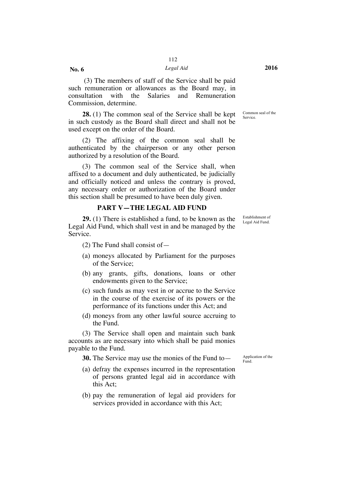**No. 6**

(3) The members of staff of the Service shall be paid such remuneration or allowances as the Board may, in consultation with the Salaries and Remuneration Commission, determine.

**28.** (1) The common seal of the Service shall be kept in such custody as the Board shall direct and shall not be used except on the order of the Board.

(2) The affixing of the common seal shall be authenticated by the chairperson or any other person authorized by a resolution of the Board.

(3) The common seal of the Service shall, when affixed to a document and duly authenticated, be judicially and officially noticed and unless the contrary is proved, any necessary order or authorization of the Board under this section shall be presumed to have been duly given.

#### **PART V—THE LEGAL AID FUND**

**29.** (1) There is established a fund, to be known as the Legal Aid Fund, which shall vest in and be managed by the Service.

- (2) The Fund shall consist of—
- (a) moneys allocated by Parliament for the purposes of the Service;
- (b) any grants, gifts, donations, loans or other endowments given to the Service;
- (c) such funds as may vest in or accrue to the Service in the course of the exercise of its powers or the performance of its functions under this Act; and
- (d) moneys from any other lawful source accruing to the Fund.

(3) The Service shall open and maintain such bank accounts as are necessary into which shall be paid monies payable to the Fund.

**30.** The Service may use the monies of the Fund to  $\frac{1}{2}$  Application of the

- (a) defray the expenses incurred in the representation of persons granted legal aid in accordance with this Act;
- (b) pay the remuneration of legal aid providers for services provided in accordance with this Act;

Common seal of the Service.

Establishment of Legal Aid Fund.

Fund.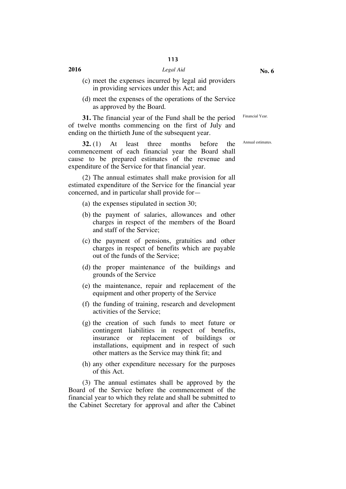#### **2016** *Legal Aid*

- (c) meet the expenses incurred by legal aid providers in providing services under this Act; and
- (d) meet the expenses of the operations of the Service as approved by the Board.

**31.** The financial year of the Fund shall be the period of twelve months commencing on the first of July and ending on the thirtieth June of the subsequent year.

**32.** (1) At least three months before the commencement of each financial year the Board shall cause to be prepared estimates of the revenue and expenditure of the Service for that financial year.

(2) The annual estimates shall make provision for all estimated expenditure of the Service for the financial year concerned, and in particular shall provide for—

- (a) the expenses stipulated in section 30;
- (b) the payment of salaries, allowances and other charges in respect of the members of the Board and staff of the Service;
- (c) the payment of pensions, gratuities and other charges in respect of benefits which are payable out of the funds of the Service;
- (d) the proper maintenance of the buildings and grounds of the Service
- (e) the maintenance, repair and replacement of the equipment and other property of the Service
- (f) the funding of training, research and development activities of the Service;
- (g) the creation of such funds to meet future or contingent liabilities in respect of benefits, insurance or replacement of buildings or installations, equipment and in respect of such other matters as the Service may think fit; and
- (h) any other expenditure necessary for the purposes of this Act.

(3) The annual estimates shall be approved by the Board of the Service before the commencement of the financial year to which they relate and shall be submitted to the Cabinet Secretary for approval and after the Cabinet **No. 6**

Financial Year.

Annual estimates.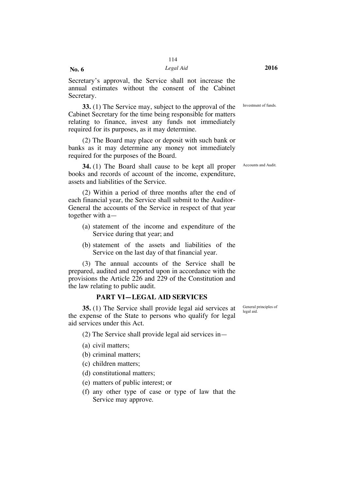**No. 6**

Secretary's approval, the Service shall not increase the annual estimates without the consent of the Cabinet Secretary.

**33.** (1) The Service may, subject to the approval of the Cabinet Secretary for the time being responsible for matters relating to finance, invest any funds not immediately required for its purposes, as it may determine.

(2) The Board may place or deposit with such bank or banks as it may determine any money not immediately required for the purposes of the Board.

**34.** (1) The Board shall cause to be kept all proper books and records of account of the income, expenditure, assets and liabilities of the Service.

(2) Within a period of three months after the end of each financial year, the Service shall submit to the Auditor-General the accounts of the Service in respect of that year together with a—

- (a) statement of the income and expenditure of the Service during that year; and
- (b) statement of the assets and liabilities of the Service on the last day of that financial year.

(3) The annual accounts of the Service shall be prepared, audited and reported upon in accordance with the provisions the Article 226 and 229 of the Constitution and the law relating to public audit.

#### **PART VI—LEGAL AID SERVICES**

**35.** (1) The Service shall provide legal aid services at the expense of the State to persons who qualify for legal aid services under this Act.

(2) The Service shall provide legal aid services in—

- (a) civil matters;
- (b) criminal matters;
- (c) children matters;
- (d) constitutional matters;
- (e) matters of public interest; or
- (f) any other type of case or type of law that the Service may approve.

General principles of legal aid.

Accounts and Audit.

Investment of funds.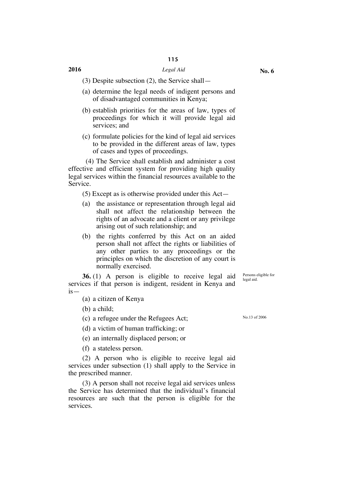(3) Despite subsection (2), the Service shall—

- (a) determine the legal needs of indigent persons and of disadvantaged communities in Kenya;
- (b) establish priorities for the areas of law, types of proceedings for which it will provide legal aid services; and
- (c) formulate policies for the kind of legal aid services to be provided in the different areas of law, types of cases and types of proceedings.

(4) The Service shall establish and administer a cost effective and efficient system for providing high quality legal services within the financial resources available to the Service.

(5) Except as is otherwise provided under this Act—

- (a) the assistance or representation through legal aid shall not affect the relationship between the rights of an advocate and a client or any privilege arising out of such relationship; and
- (b) the rights conferred by this Act on an aided person shall not affect the rights or liabilities of any other parties to any proceedings or the principles on which the discretion of any court is normally exercised.

**36.** (1) A person is eligible to receive legal aid services if that person is indigent, resident in Kenya and is—

(a) a citizen of Kenya

(b) a child;

- (c) a refugee under the Refugees Act;  $N_{0.13 \text{ of } 2006}$
- (d) a victim of human trafficking; or
- (e) an internally displaced person; or

(f) a stateless person.

(2) A person who is eligible to receive legal aid services under subsection (1) shall apply to the Service in the prescribed manner.

(3) A person shall not receive legal aid services unless the Service has determined that the individual's financial resources are such that the person is eligible for the services.

Persons eligible for legal aid.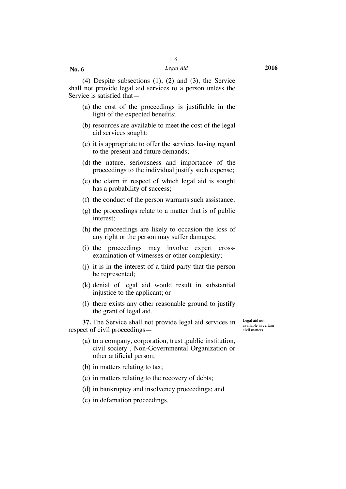#### *Legal Aid* **2016**

(4) Despite subsections (1), (2) and (3), the Service shall not provide legal aid services to a person unless the Service is satisfied that—

- (a) the cost of the proceedings is justifiable in the light of the expected benefits;
- (b) resources are available to meet the cost of the legal aid services sought;
- (c) it is appropriate to offer the services having regard to the present and future demands;
- (d) the nature, seriousness and importance of the proceedings to the individual justify such expense;
- (e) the claim in respect of which legal aid is sought has a probability of success;
- (f) the conduct of the person warrants such assistance;
- (g) the proceedings relate to a matter that is of public interest;
- (h) the proceedings are likely to occasion the loss of any right or the person may suffer damages;
- (i) the proceedings may involve expert crossexamination of witnesses or other complexity;
- (j) it is in the interest of a third party that the person be represented;
- (k) denial of legal aid would result in substantial injustice to the applicant; or
- (l) there exists any other reasonable ground to justify the grant of legal aid.

**37.** The Service shall not provide legal aid services in respect of civil proceedingsLegal aid not available in certain civil matters.

- (a) to a company, corporation, trust ,public institution, civil society , Non-Governmental Organization or other artificial person;
- (b) in matters relating to tax;
- (c) in matters relating to the recovery of debts;
- (d) in bankruptcy and insolvency proceedings; and
- (e) in defamation proceedings.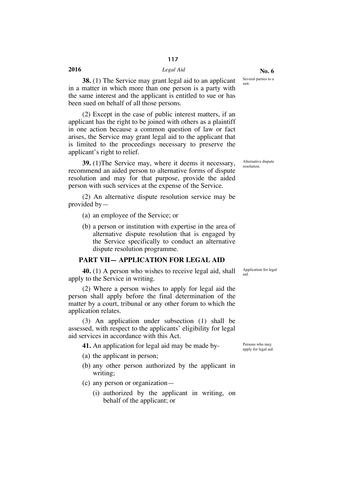#### **2016** *Legal Aid*

**38.** (1) The Service may grant legal aid to an applicant in a matter in which more than one person is a party with the same interest and the applicant is entitled to sue or has been sued on behalf of all those persons.

(2) Except in the case of public interest matters, if an applicant has the right to be joined with others as a plaintiff in one action because a common question of law or fact arises, the Service may grant legal aid to the applicant that is limited to the proceedings necessary to preserve the applicant's right to relief.

**39.** (1)The Service may, where it deems it necessary, recommend an aided person to alternative forms of dispute resolution and may for that purpose, provide the aided person with such services at the expense of the Service.

(2) An alternative dispute resolution service may be provided by—

(a) an employee of the Service; or

(b) a person or institution with expertise in the area of alternative dispute resolution that is engaged by the Service specifically to conduct an alternative dispute resolution programme.

#### **PART VII— APPLICATION FOR LEGAL AID**

**40.** (1) A person who wishes to receive legal aid, shall apply to the Service in writing.

(2) Where a person wishes to apply for legal aid the person shall apply before the final determination of the matter by a court, tribunal or any other forum to which the application relates.

(3) An application under subsection (1) shall be assessed, with respect to the applicants' eligibility for legal aid services in accordance with this Act.

**41.** An application for legal aid may be made by-<br>ersons who may

- (a) the applicant in person;
- (b) any other person authorized by the applicant in writing;
- (c) any person or organization—
	- (i) authorized by the applicant in writing, on behalf of the applicant; or

apply for legal aid.

Application for legal

aid.

Alternative dispute resolution.

Several parties to a

suit.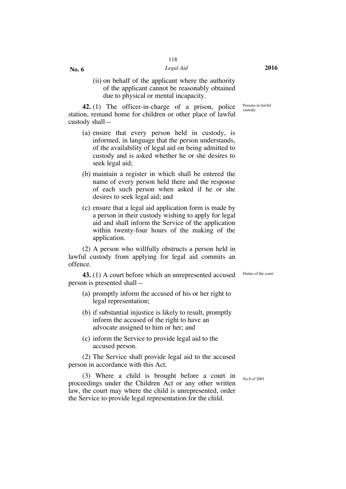#### *Legal Aid* **2016**

(ii) on behalf of the applicant where the authority of the applicant cannot be reasonably obtained due to physical or mental incapacity.

**42.** (1) The officer-in-charge of a prison, police station, remand home for children or other place of lawful custody shall—

**No. 6**

- (a) ensure that every person held in custody, is informed, in language that the person understands, of the availability of legal aid on being admitted to custody and is asked whether he or she desires to seek legal aid;
- (b) maintain a register in which shall be entered the name of every person held there and the response of each such person when asked if he or she desires to seek legal aid; and
- (c) ensure that a legal aid application form is made by a person in their custody wishing to apply for legal aid and shall inform the Service of the application within twenty-four hours of the making of the application.

(2) A person who willfully obstructs a person held in lawful custody from applying for legal aid commits an offence.

**43.** (1) A court before which an unrepresented accused person is presented shall—

- (a) promptly inform the accused of his or her right to legal representation;
- (b) if substantial injustice is likely to result, promptly inform the accused of the right to have an advocate assigned to him or her; and
- (c) inform the Service to provide legal aid to the accused person.

(2) The Service shall provide legal aid to the accused person in accordance with this Act.

(3) Where a child is brought before a court in proceedings under the Children Act or any other written law, the court may where the child is unrepresented, order the Service to provide legal representation for the child.

Persons in lawful custody.

Duties of the court.

No.8 of 2001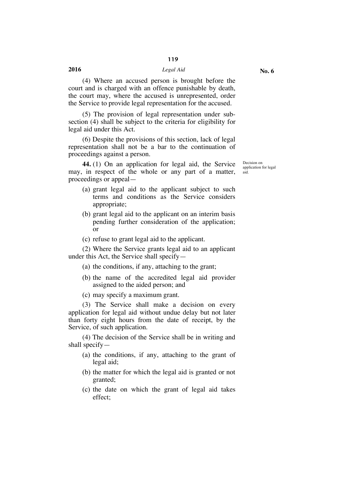#### **2016** *Legal Aid*

(4) Where an accused person is brought before the court and is charged with an offence punishable by death, the court may, where the accused is unrepresented, order the Service to provide legal representation for the accused.

(5) The provision of legal representation under subsection (4) shall be subject to the criteria for eligibility for legal aid under this Act.

(6) Despite the provisions of this section, lack of legal representation shall not be a bar to the continuation of proceedings against a person.

**44.** (1) On an application for legal aid, the Service may, in respect of the whole or any part of a matter, proceedings or appeal—

- (a) grant legal aid to the applicant subject to such terms and conditions as the Service considers appropriate;
- (b) grant legal aid to the applicant on an interim basis pending further consideration of the application; or
- (c) refuse to grant legal aid to the applicant.

(2) Where the Service grants legal aid to an applicant under this Act, the Service shall specify—

- (a) the conditions, if any, attaching to the grant;
- (b) the name of the accredited legal aid provider assigned to the aided person; and
- (c) may specify a maximum grant.

(3) The Service shall make a decision on every application for legal aid without undue delay but not later than forty eight hours from the date of receipt, by the Service, of such application.

(4) The decision of the Service shall be in writing and shall specify—

- (a) the conditions, if any, attaching to the grant of legal aid;
- (b) the matter for which the legal aid is granted or not granted;
- (c) the date on which the grant of legal aid takes effect;

Decision on application for legal aid.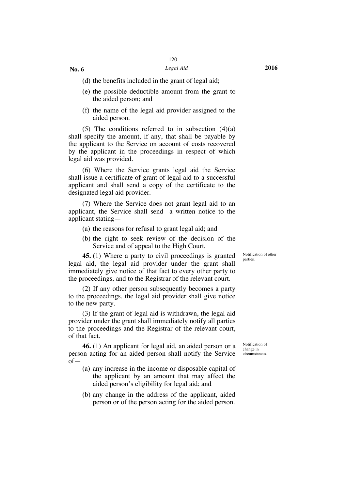#### *Legal Aid* **2016**

(d) the benefits included in the grant of legal aid;

- (e) the possible deductible amount from the grant to the aided person; and
- (f) the name of the legal aid provider assigned to the aided person.

(5) The conditions referred to in subsection  $(4)(a)$ shall specify the amount, if any, that shall be payable by the applicant to the Service on account of costs recovered by the applicant in the proceedings in respect of which legal aid was provided.

(6) Where the Service grants legal aid the Service shall issue a certificate of grant of legal aid to a successful applicant and shall send a copy of the certificate to the designated legal aid provider.

(7) Where the Service does not grant legal aid to an applicant, the Service shall send a written notice to the applicant stating—

- (a) the reasons for refusal to grant legal aid; and
- (b) the right to seek review of the decision of the Service and of appeal to the High Court.

**45.** (1) Where a party to civil proceedings is granted legal aid, the legal aid provider under the grant shall immediately give notice of that fact to every other party to the proceedings, and to the Registrar of the relevant court.

(2) If any other person subsequently becomes a party to the proceedings, the legal aid provider shall give notice to the new party.

(3) If the grant of legal aid is withdrawn, the legal aid provider under the grant shall immediately notify all parties to the proceedings and the Registrar of the relevant court, of that fact.

**46.** (1) An applicant for legal aid, an aided person or a person acting for an aided person shall notify the Service of—

- (a) any increase in the income or disposable capital of the applicant by an amount that may affect the aided person's eligibility for legal aid; and
- (b) any change in the address of the applicant, aided person or of the person acting for the aided person.

Notification of other parties.

Notification of change in circumstances.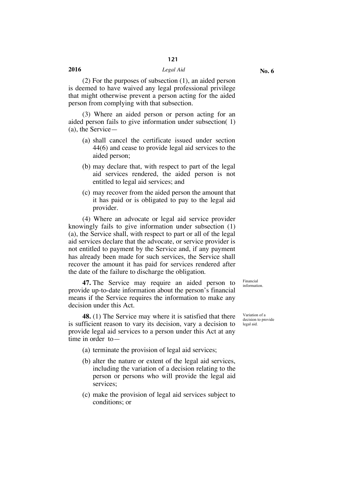(2) For the purposes of subsection (1), an aided person is deemed to have waived any legal professional privilege that might otherwise prevent a person acting for the aided person from complying with that subsection.

(3) Where an aided person or person acting for an aided person fails to give information under subsection( 1) (a), the Service—

- (a) shall cancel the certificate issued under section 44(6) and cease to provide legal aid services to the aided person;
- (b) may declare that, with respect to part of the legal aid services rendered, the aided person is not entitled to legal aid services; and
- (c) may recover from the aided person the amount that it has paid or is obligated to pay to the legal aid provider.

(4) Where an advocate or legal aid service provider knowingly fails to give information under subsection (1) (a), the Service shall, with respect to part or all of the legal aid services declare that the advocate, or service provider is not entitled to payment by the Service and, if any payment has already been made for such services, the Service shall recover the amount it has paid for services rendered after the date of the failure to discharge the obligation.

**47.** The Service may require an aided person to provide up-to-date information about the person's financial means if the Service requires the information to make any decision under this Act.

**48.** (1) The Service may where it is satisfied that there is sufficient reason to vary its decision, vary a decision to provide legal aid services to a person under this Act at any time in order to—

- (a) terminate the provision of legal aid services;
- (b) alter the nature or extent of the legal aid services, including the variation of a decision relating to the person or persons who will provide the legal aid services;
- (c) make the provision of legal aid services subject to conditions; or

information.

Financial

Variation of a decision to provide legal aid.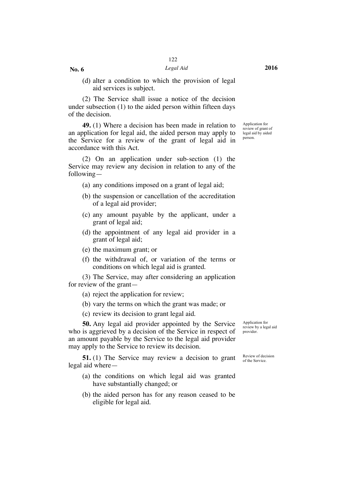(d) alter a condition to which the provision of legal aid services is subject.

(2) The Service shall issue a notice of the decision under subsection (1) to the aided person within fifteen days of the decision.

**49.** (1) Where a decision has been made in relation to an application for legal aid, the aided person may apply to the Service for a review of the grant of legal aid in accordance with this Act.

(2) On an application under sub-section (1) the Service may review any decision in relation to any of the following—

- (a) any conditions imposed on a grant of legal aid;
- (b) the suspension or cancellation of the accreditation of a legal aid provider;
- (c) any amount payable by the applicant, under a grant of legal aid;
- (d) the appointment of any legal aid provider in a grant of legal aid;
- (e) the maximum grant; or
- (f) the withdrawal of, or variation of the terms or conditions on which legal aid is granted.

(3) The Service, may after considering an application for review of the grant—

(a) reject the application for review;

(b) vary the terms on which the grant was made; or

(c) review its decision to grant legal aid.

**50.** Any legal aid provider appointed by the Service who is aggrieved by a decision of the Service in respect of an amount payable by the Service to the legal aid provider may apply to the Service to review its decision.

**51.** (1) The Service may review a decision to grant legal aid where—

- (a) the conditions on which legal aid was granted have substantially changed; or
- (b) the aided person has for any reason ceased to be eligible for legal aid.

Application for review by a legal aid provider.

Review of decision of the Service.

Application for review of grant of legal aid by aided person.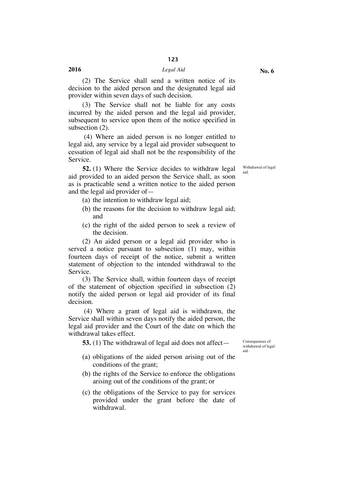(2) The Service shall send a written notice of its decision to the aided person and the designated legal aid provider within seven days of such decision.

(3) The Service shall not be liable for any costs incurred by the aided person and the legal aid provider, subsequent to service upon them of the notice specified in subsection (2).

(4) Where an aided person is no longer entitled to legal aid, any service by a legal aid provider subsequent to cessation of legal aid shall not be the responsibility of the Service.

**52.** (1) Where the Service decides to withdraw legal aid provided to an aided person the Service shall, as soon as is practicable send a written notice to the aided person and the legal aid provider of—

- (a) the intention to withdraw legal aid;
- (b) the reasons for the decision to withdraw legal aid; and
- (c) the right of the aided person to seek a review of the decision.

(2) An aided person or a legal aid provider who is served a notice pursuant to subsection (1) may, within fourteen days of receipt of the notice, submit a written statement of objection to the intended withdrawal to the Service.

(3) The Service shall, within fourteen days of receipt of the statement of objection specified in subsection (2) notify the aided person or legal aid provider of its final decision.

(4) Where a grant of legal aid is withdrawn, the Service shall within seven days notify the aided person, the legal aid provider and the Court of the date on which the withdrawal takes effect.

**53.** (1) The withdrawal of legal aid does not affect— Consequences of

- (a) obligations of the aided person arising out of the conditions of the grant;
- (b) the rights of the Service to enforce the obligations arising out of the conditions of the grant; or
- (c) the obligations of the Service to pay for services provided under the grant before the date of withdrawal.

withdrawal of legal aid.

Withdrawal of legal aid.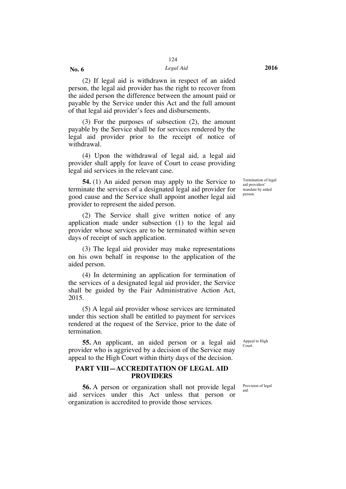#### *Legal Aid* **2016**

(2) If legal aid is withdrawn in respect of an aided person, the legal aid provider has the right to recover from the aided person the difference between the amount paid or payable by the Service under this Act and the full amount of that legal aid provider's fees and disbursements.

**No. 6**

(3) For the purposes of subsection (2), the amount payable by the Service shall be for services rendered by the legal aid provider prior to the receipt of notice of withdrawal.

(4) Upon the withdrawal of legal aid, a legal aid provider shall apply for leave of Court to cease providing legal aid services in the relevant case.

**54.** (1) An aided person may apply to the Service to terminate the services of a designated legal aid provider for good cause and the Service shall appoint another legal aid provider to represent the aided person.

(2) The Service shall give written notice of any application made under subsection (1) to the legal aid provider whose services are to be terminated within seven days of receipt of such application.

(3) The legal aid provider may make representations on his own behalf in response to the application of the aided person.

(4) In determining an application for termination of the services of a designated legal aid provider, the Service shall be guided by the Fair Administrative Action Act, 2015.

(5) A legal aid provider whose services are terminated under this section shall be entitled to payment for services rendered at the request of the Service, prior to the date of termination.

**55.** An applicant, an aided person or a legal aid provider who is aggrieved by a decision of the Service may appeal to the High Court within thirty days of the decision.

#### **PART VIII—ACCREDITATION OF LEGAL AID PROVIDERS**

**56.** A person or organization shall not provide legal aid services under this Act unless that person or organization is accredited to provide those services.

Termination of legal aid providers' mandate by aided person.

Appeal to High Court.

Provision of legal aid.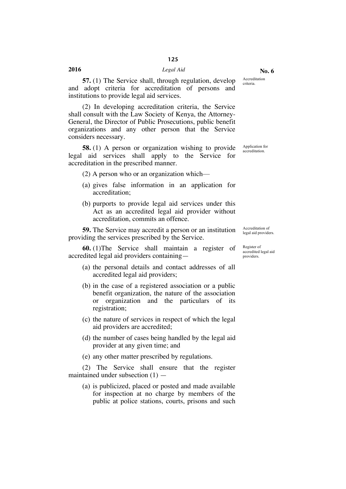**57.** (1) The Service shall, through regulation, develop and adopt criteria for accreditation of persons and institutions to provide legal aid services.

(2) In developing accreditation criteria, the Service shall consult with the Law Society of Kenya, the Attorney-General, the Director of Public Prosecutions, public benefit organizations and any other person that the Service considers necessary.

**58.** (1) A person or organization wishing to provide legal aid services shall apply to the Service for accreditation in the prescribed manner.

(2) A person who or an organization which—

- (a) gives false information in an application for accreditation;
- (b) purports to provide legal aid services under this Act as an accredited legal aid provider without accreditation, commits an offence.

**59.** The Service may accredit a person or an institution providing the services prescribed by the Service.

**60.** (1)The Service shall maintain a register of accredited legal aid providers containing—

- (a) the personal details and contact addresses of all accredited legal aid providers;
- (b) in the case of a registered association or a public benefit organization, the nature of the association or organization and the particulars of its registration;
- (c) the nature of services in respect of which the legal aid providers are accredited;
- (d) the number of cases being handled by the legal aid provider at any given time; and
- (e) any other matter prescribed by regulations.

(2) The Service shall ensure that the register maintained under subsection  $(1)$  —

(a) is publicized, placed or posted and made available for inspection at no charge by members of the public at police stations, courts, prisons and such

legal aid providers. Register of

Accreditation of

accredited legal aid providers.

Application for accreditation.

Accreditation criteria.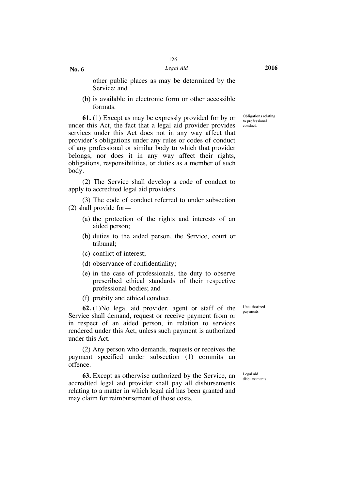other public places as may be determined by the Service; and

(b) is available in electronic form or other accessible formats.

**61.** (1) Except as may be expressly provided for by or under this Act, the fact that a legal aid provider provides services under this Act does not in any way affect that provider's obligations under any rules or codes of conduct of any professional or similar body to which that provider belongs, nor does it in any way affect their rights, obligations, responsibilities, or duties as a member of such body.

(2) The Service shall develop a code of conduct to apply to accredited legal aid providers.

(3) The code of conduct referred to under subsection (2) shall provide for—

- (a) the protection of the rights and interests of an aided person;
- (b) duties to the aided person, the Service, court or tribunal;
- (c) conflict of interest;
- (d) observance of confidentiality;
- (e) in the case of professionals, the duty to observe prescribed ethical standards of their respective professional bodies; and
- (f) probity and ethical conduct.

**62.** (1)No legal aid provider, agent or staff of the Service shall demand, request or receive payment from or in respect of an aided person, in relation to services rendered under this Act, unless such payment is authorized under this Act.

(2) Any person who demands, requests or receives the payment specified under subsection (1) commits an offence.

**63.** Except as otherwise authorized by the Service, an accredited legal aid provider shall pay all disbursements relating to a matter in which legal aid has been granted and may claim for reimbursement of those costs.

Unauthorized payments.

Legal aid disbursements.

Obligations relating to professional conduct.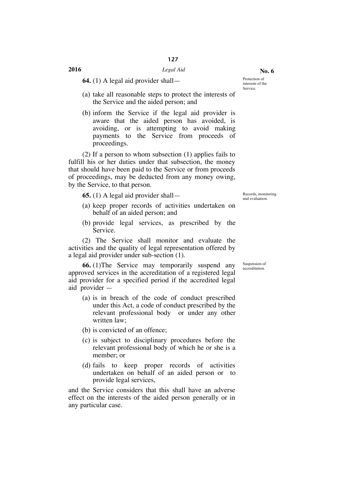**64.** (1) A legal aid provider shall—

- (a) take all reasonable steps to protect the interests of the Service and the aided person; and
- (b) inform the Service if the legal aid provider is aware that the aided person has avoided, is avoiding, or is attempting to avoid making payments to the Service from proceeds of proceedings.

(2) If a person to whom subsection (1) applies fails to fulfill his or her duties under that subsection, the money that should have been paid to the Service or from proceeds of proceedings, may be deducted from any money owing, by the Service, to that person.

**65.** (1) A legal aid provider shall— Records, monitoring

- (a) keep proper records of activities undertaken on behalf of an aided person; and
- (b) provide legal services, as prescribed by the Service.

(2) The Service shall monitor and evaluate the activities and the quality of legal representation offered by a legal aid provider under sub-section (1).

**66.** (1)The Service may temporarily suspend any approved services in the accreditation of a registered legal aid provider for a specified period if the accredited legal aid provider —

- (a) is in breach of the code of conduct prescribed under this Act, a code of conduct prescribed by the relevant professional body or under any other written law;
- (b) is convicted of an offence;
- (c) is subject to disciplinary procedures before the relevant professional body of which he or she is a member; or
- (d) fails to keep proper records of activities undertaken on behalf of an aided person or to provide legal services,

and the Service considers that this shall have an adverse effect on the interests of the aided person generally or in any particular case.

and evaluation.

Suspension of accreditation.

**No. 6**

interests of the Service.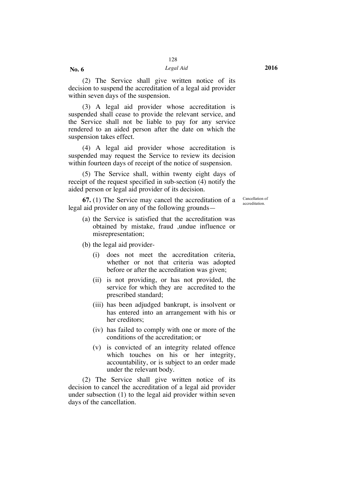**No. 6**

(2) The Service shall give written notice of its decision to suspend the accreditation of a legal aid provider within seven days of the suspension.

(3) A legal aid provider whose accreditation is suspended shall cease to provide the relevant service, and the Service shall not be liable to pay for any service rendered to an aided person after the date on which the suspension takes effect.

(4) A legal aid provider whose accreditation is suspended may request the Service to review its decision within fourteen days of receipt of the notice of suspension.

(5) The Service shall, within twenty eight days of receipt of the request specified in sub-section (4) notify the aided person or legal aid provider of its decision.

**67.** (1) The Service may cancel the accreditation of a legal aid provider on any of the following groundsCancellation of accreditation.

(a) the Service is satisfied that the accreditation was obtained by mistake, fraud ,undue influence or misrepresentation;

(b) the legal aid provider-

- (i) does not meet the accreditation criteria, whether or not that criteria was adopted before or after the accreditation was given;
- (ii) is not providing, or has not provided, the service for which they are accredited to the prescribed standard;
- (iii) has been adjudged bankrupt, is insolvent or has entered into an arrangement with his or her creditors;
- (iv) has failed to comply with one or more of the conditions of the accreditation; or
- (v) is convicted of an integrity related offence which touches on his or her integrity, accountability, or is subject to an order made under the relevant body.

(2) The Service shall give written notice of its decision to cancel the accreditation of a legal aid provider under subsection (1) to the legal aid provider within seven days of the cancellation.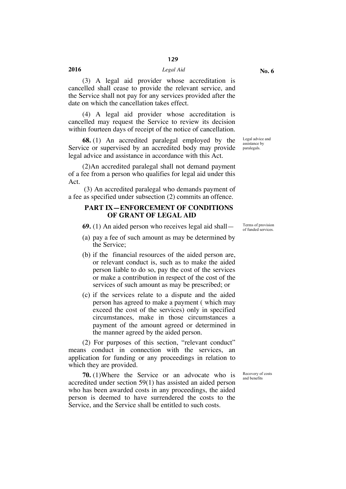(3) A legal aid provider whose accreditation is cancelled shall cease to provide the relevant service, and the Service shall not pay for any services provided after the date on which the cancellation takes effect.

(4) A legal aid provider whose accreditation is cancelled may request the Service to review its decision within fourteen days of receipt of the notice of cancellation.

**68.** (1) An accredited paralegal employed by the Service or supervised by an accredited body may provide legal advice and assistance in accordance with this Act.

(2)An accredited paralegal shall not demand payment of a fee from a person who qualifies for legal aid under this Act.

(3) An accredited paralegal who demands payment of a fee as specified under subsection (2) commits an offence.

#### **PART IX—ENFORCEMENT OF CONDITIONS OF GRANT OF LEGAL AID**

**69.** (1) An aided person who receives legal aid shall — Terms of provision

- (a) pay a fee of such amount as may be determined by the Service;
- (b) if the financial resources of the aided person are, or relevant conduct is, such as to make the aided person liable to do so, pay the cost of the services or make a contribution in respect of the cost of the services of such amount as may be prescribed; or
- (c) if the services relate to a dispute and the aided person has agreed to make a payment ( which may exceed the cost of the services) only in specified circumstances, make in those circumstances a payment of the amount agreed or determined in the manner agreed by the aided person.

(2) For purposes of this section, "relevant conduct" means conduct in connection with the services, an application for funding or any proceedings in relation to which they are provided.

**70.** (1)Where the Service or an advocate who is accredited under section 59(1) has assisted an aided person who has been awarded costs in any proceedings, the aided person is deemed to have surrendered the costs to the Service, and the Service shall be entitled to such costs.

Legal advice and assistance by paralegals.

of funded services.

Recovery of costs and benefits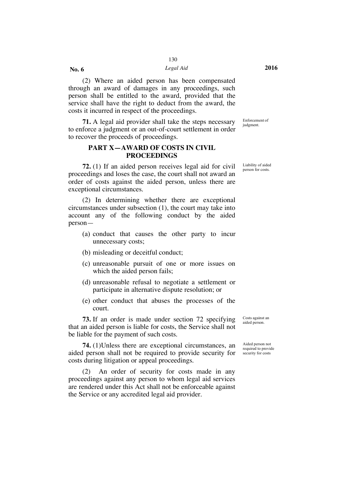*Legal Aid* **2016**

(2) Where an aided person has been compensated through an award of damages in any proceedings, such person shall be entitled to the award, provided that the service shall have the right to deduct from the award, the costs it incurred in respect of the proceedings.

**71.** A legal aid provider shall take the steps necessary to enforce a judgment or an out-of-court settlement in order to recover the proceeds of proceedings.

#### **PART X—AWARD OF COSTS IN CIVIL PROCEEDINGS**

**72.** (1) If an aided person receives legal aid for civil proceedings and loses the case, the court shall not award an order of costs against the aided person, unless there are exceptional circumstances.

(2) In determining whether there are exceptional circumstances under subsection (1), the court may take into account any of the following conduct by the aided person—

- (a) conduct that causes the other party to incur unnecessary costs;
- (b) misleading or deceitful conduct;
- (c) unreasonable pursuit of one or more issues on which the aided person fails;
- (d) unreasonable refusal to negotiate a settlement or participate in alternative dispute resolution; or
- (e) other conduct that abuses the processes of the court.

**73.** If an order is made under section 72 specifying that an aided person is liable for costs, the Service shall not be liable for the payment of such costs.

**74.** (1)Unless there are exceptional circumstances, an aided person shall not be required to provide security for costs during litigation or appeal proceedings.

(2) An order of security for costs made in any proceedings against any person to whom legal aid services are rendered under this Act shall not be enforceable against the Service or any accredited legal aid provider.

Costs against an aided person.

Aided person not required to provide security for costs

Enforcement of judgment.

Liability of aided person for costs.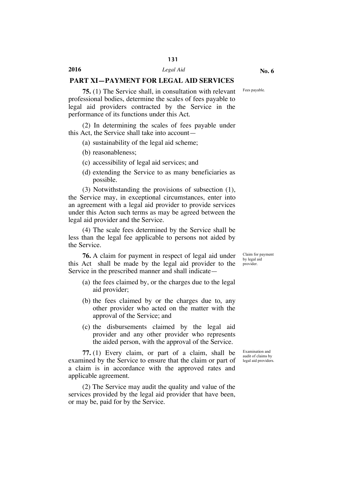#### **PART XI—PAYMENT FOR LEGAL AID SERVICES**

Fees payable.

**75.** (1) The Service shall, in consultation with relevant professional bodies, determine the scales of fees payable to legal aid providers contracted by the Service in the performance of its functions under this Act.

(2) In determining the scales of fees payable under this Act, the Service shall take into account—

(a) sustainability of the legal aid scheme;

- (b) reasonableness;
- (c) accessibility of legal aid services; and
- (d) extending the Service to as many beneficiaries as possible.

(3) Notwithstanding the provisions of subsection (1), the Service may, in exceptional circumstances, enter into an agreement with a legal aid provider to provide services under this Acton such terms as may be agreed between the legal aid provider and the Service.

(4) The scale fees determined by the Service shall be less than the legal fee applicable to persons not aided by the Service.

**76.** A claim for payment in respect of legal aid under this Act shall be made by the legal aid provider to the Service in the prescribed manner and shall indicate—

- (a) the fees claimed by, or the charges due to the legal aid provider;
- (b) the fees claimed by or the charges due to, any other provider who acted on the matter with the approval of the Service; and
- (c) the disbursements claimed by the legal aid provider and any other provider who represents the aided person, with the approval of the Service.

**77.** (1) Every claim, or part of a claim, shall be examined by the Service to ensure that the claim or part of a claim is in accordance with the approved rates and applicable agreement.

(2) The Service may audit the quality and value of the services provided by the legal aid provider that have been, or may be, paid for by the Service.

Claim for payment by legal aid provider.

Examination and audit of claims by legal aid providers.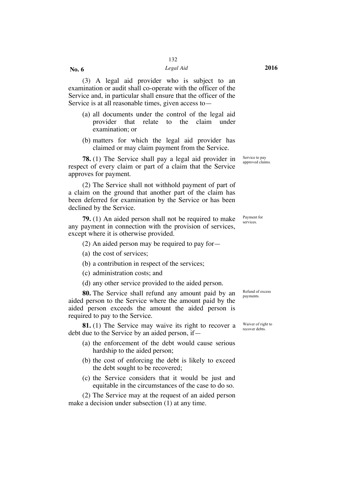#### *Legal Aid* **2016**

(3) A legal aid provider who is subject to an examination or audit shall co-operate with the officer of the Service and, in particular shall ensure that the officer of the Service is at all reasonable times, given access to—

- (a) all documents under the control of the legal aid provider that relate to the claim under examination; or
- (b) matters for which the legal aid provider has claimed or may claim payment from the Service.

**78.** (1) The Service shall pay a legal aid provider in respect of every claim or part of a claim that the Service approves for payment.

(2) The Service shall not withhold payment of part of a claim on the ground that another part of the claim has been deferred for examination by the Service or has been declined by the Service.

**79.** (1) An aided person shall not be required to make any payment in connection with the provision of services, except where it is otherwise provided.

- (2) An aided person may be required to pay for—
- (a) the cost of services;
- (b) a contribution in respect of the services;

(c) administration costs; and

(d) any other service provided to the aided person.

**80.** The Service shall refund any amount paid by an aided person to the Service where the amount paid by the aided person exceeds the amount the aided person is required to pay to the Service.

**81.** (1) The Service may waive its right to recover a debt due to the Service by an aided person, if—

- (a) the enforcement of the debt would cause serious hardship to the aided person;
- (b) the cost of enforcing the debt is likely to exceed the debt sought to be recovered;
- (c) the Service considers that it would be just and equitable in the circumstances of the case to do so.

(2) The Service may at the request of an aided person make a decision under subsection (1) at any time.

Refund of excess payments.

Waiver of right to recover debts.

Service to pay approved claims.

Payment for services.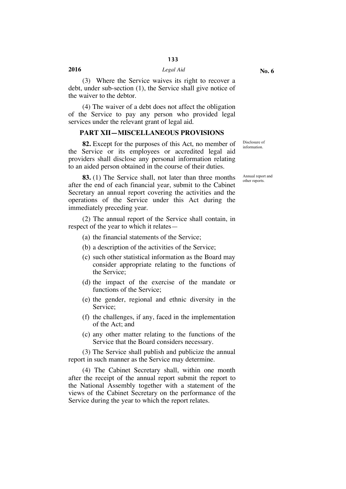(3) Where the Service waives its right to recover a debt, under sub-section (1), the Service shall give notice of the waiver to the debtor.

(4) The waiver of a debt does not affect the obligation of the Service to pay any person who provided legal services under the relevant grant of legal aid.

#### **PART XII—MISCELLANEOUS PROVISIONS**

**82.** Except for the purposes of this Act, no member of the Service or its employees or accredited legal aid providers shall disclose any personal information relating to an aided person obtained in the course of their duties.

**83.** (1) The Service shall, not later than three months after the end of each financial year, submit to the Cabinet Secretary an annual report covering the activities and the operations of the Service under this Act during the immediately preceding year.

(2) The annual report of the Service shall contain, in respect of the year to which it relates—

(a) the financial statements of the Service;

- (b) a description of the activities of the Service;
- (c) such other statistical information as the Board may consider appropriate relating to the functions of the Service;
- (d) the impact of the exercise of the mandate or functions of the Service;
- (e) the gender, regional and ethnic diversity in the Service;
- (f) the challenges, if any, faced in the implementation of the Act; and
- (c) any other matter relating to the functions of the Service that the Board considers necessary.

(3) The Service shall publish and publicize the annual report in such manner as the Service may determine.

(4) The Cabinet Secretary shall, within one month after the receipt of the annual report submit the report to the National Assembly together with a statement of the views of the Cabinet Secretary on the performance of the Service during the year to which the report relates.

Disclosure of information.

Annual report and other reports.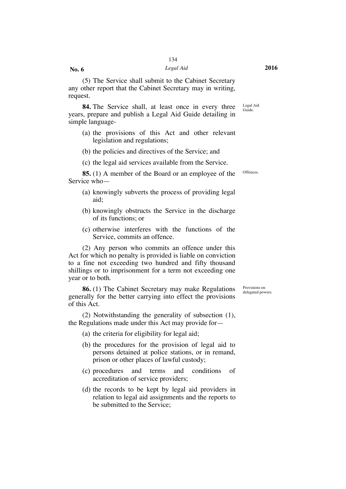**No. 6**

(5) The Service shall submit to the Cabinet Secretary any other report that the Cabinet Secretary may in writing, request.

**84.** The Service shall, at least once in every three years, prepare and publish a Legal Aid Guide detailing in simple language-Legal Aid Guide.

- (a) the provisions of this Act and other relevant legislation and regulations;
- (b) the policies and directives of the Service; and
- (c) the legal aid services available from the Service.

**85.** (1) A member of the Board or an employee of the Service who—

- (a) knowingly subverts the process of providing legal aid;
- (b) knowingly obstructs the Service in the discharge of its functions; or
- (c) otherwise interferes with the functions of the Service, commits an offence.

(2) Any person who commits an offence under this Act for which no penalty is provided is liable on conviction to a fine not exceeding two hundred and fifty thousand shillings or to imprisonment for a term not exceeding one year or to both.

**86.** (1) The Cabinet Secretary may make Regulations generally for the better carrying into effect the provisions of this Act.

(2) Notwithstanding the generality of subsection (1), the Regulations made under this Act may provide for—

(a) the criteria for eligibility for legal aid;

- (b) the procedures for the provision of legal aid to persons detained at police stations, or in remand, prison or other places of lawful custody;
- (c) procedures and terms and conditions of accreditation of service providers;
- (d) the records to be kept by legal aid providers in relation to legal aid assignments and the reports to be submitted to the Service;

Offences.

Provisions on delegated powers.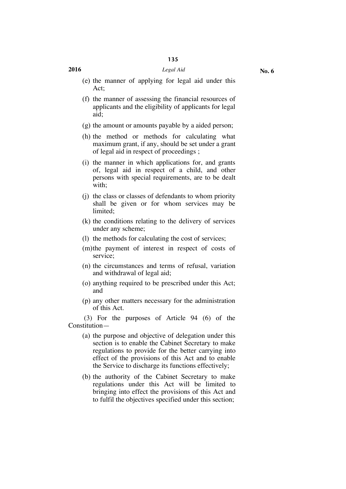#### **2016** *Legal Aid*

- (e) the manner of applying for legal aid under this Act;
- (f) the manner of assessing the financial resources of applicants and the eligibility of applicants for legal aid;
- (g) the amount or amounts payable by a aided person;
- (h) the method or methods for calculating what maximum grant, if any, should be set under a grant of legal aid in respect of proceedings ;
- (i) the manner in which applications for, and grants of, legal aid in respect of a child, and other persons with special requirements, are to be dealt with;
- (j) the class or classes of defendants to whom priority shall be given or for whom services may be limited;
- (k) the conditions relating to the delivery of services under any scheme;
- (l) the methods for calculating the cost of services;
- (m)the payment of interest in respect of costs of service;
- (n) the circumstances and terms of refusal, variation and withdrawal of legal aid;
- (o) anything required to be prescribed under this Act; and
- (p) any other matters necessary for the administration of this Act.

(3) For the purposes of Article 94 (6) of the Constitution—

- (a) the purpose and objective of delegation under this section is to enable the Cabinet Secretary to make regulations to provide for the better carrying into effect of the provisions of this Act and to enable the Service to discharge its functions effectively;
- (b) the authority of the Cabinet Secretary to make regulations under this Act will be limited to bringing into effect the provisions of this Act and to fulfil the objectives specified under this section;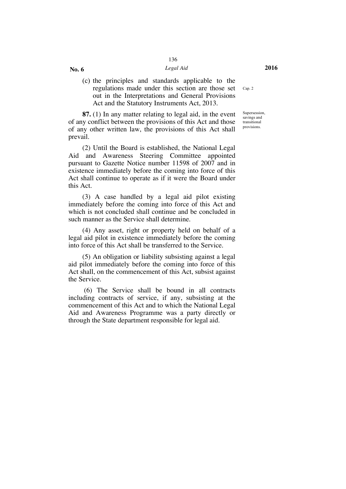#### *Legal Aid* **2016**

**No. 6**

(c) the principles and standards applicable to the regulations made under this section are those set out in the Interpretations and General Provisions Act and the Statutory Instruments Act, 2013.

**87.** (1) In any matter relating to legal aid, in the event of any conflict between the provisions of this Act and those of any other written law, the provisions of this Act shall prevail.

(2) Until the Board is established, the National Legal Aid and Awareness Steering Committee appointed pursuant to Gazette Notice number 11598 of 2007 and in existence immediately before the coming into force of this Act shall continue to operate as if it were the Board under this Act.

(3) A case handled by a legal aid pilot existing immediately before the coming into force of this Act and which is not concluded shall continue and be concluded in such manner as the Service shall determine.

(4) Any asset, right or property held on behalf of a legal aid pilot in existence immediately before the coming into force of this Act shall be transferred to the Service.

(5) An obligation or liability subsisting against a legal aid pilot immediately before the coming into force of this Act shall, on the commencement of this Act, subsist against the Service.

(6) The Service shall be bound in all contracts including contracts of service, if any, subsisting at the commencement of this Act and to which the National Legal Aid and Awareness Programme was a party directly or through the State department responsible for legal aid.

Supersession, savings and transitional provisions.

Cap. 2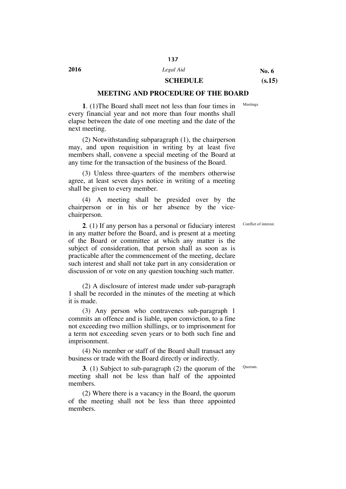#### **SCHEDULE (s.15)**

#### **MEETING AND PROCEDURE OF THE BOARD**

**1**. (1)The Board shall meet not less than four times in every financial year and not more than four months shall elapse between the date of one meeting and the date of the next meeting.

(2) Notwithstanding subparagraph (1), the chairperson may, and upon requisition in writing by at least five members shall, convene a special meeting of the Board at any time for the transaction of the business of the Board.

(3) Unless three-quarters of the members otherwise agree, at least seven days notice in writing of a meeting shall be given to every member.

(4) A meeting shall be presided over by the chairperson or in his or her absence by the vicechairperson.

**2**. (1) If any person has a personal or fiduciary interest in any matter before the Board, and is present at a meeting of the Board or committee at which any matter is the subject of consideration, that person shall as soon as is practicable after the commencement of the meeting, declare such interest and shall not take part in any consideration or discussion of or vote on any question touching such matter.

(2) A disclosure of interest made under sub-paragraph 1 shall be recorded in the minutes of the meeting at which it is made.

(3) Any person who contravenes sub-paragraph 1 commits an offence and is liable, upon conviction, to a fine not exceeding two million shillings, or to imprisonment for a term not exceeding seven years or to both such fine and imprisonment.

(4) No member or staff of the Board shall transact any business or trade with the Board directly or indirectly.

**3**. (1) Subject to sub-paragraph (2) the quorum of the meeting shall not be less than half of the appointed members.

(2) Where there is a vacancy in the Board, the quorum of the meeting shall not be less than three appointed members.

Conflict of interest.

Quorum.

Meetings.